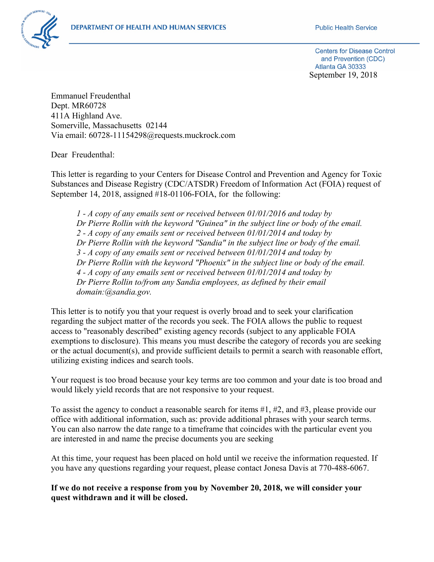

**Centers for Disease Control** and Prevention (CDC) Atlanta GA 30333 September 19, 2018

Emmanuel Freudenthal Dept. MR60728 411A Highland Ave. Somerville, Massachusetts 02144 Via email: 60728-11154298@requests.muckrock.com

Dear Freudenthal:

This letter is regarding to your Centers for Disease Control and Prevention and Agency for Toxic Substances and Disease Registry (CDC/ATSDR) Freedom of Information Act (FOIA) request of September 14, 2018, assigned #18-01106-FOIA, for the following:

*1 - A copy of any emails sent or received between 01/01/2016 and today by Dr Pierre Rollin with the keyword "Guinea" in the subject line or body of the email. 2 - A copy of any emails sent or received between 01/01/2014 and today by Dr Pierre Rollin with the keyword "Sandia" in the subject line or body of the email. 3 - A copy of any emails sent or received between 01/01/2014 and today by Dr Pierre Rollin with the keyword "Phoenix" in the subject line or body of the email. 4 - A copy of any emails sent or received between 01/01/2014 and today by Dr Pierre Rollin to/from any Sandia employees, as defined by their email domain:@sandia.gov.*

This letter is to notify you that your request is overly broad and to seek your clarification regarding the subject matter of the records you seek. The FOIA allows the public to request access to "reasonably described" existing agency records (subject to any applicable FOIA exemptions to disclosure). This means you must describe the category of records you are seeking or the actual document(s), and provide sufficient details to permit a search with reasonable effort, utilizing existing indices and search tools.

Your request is too broad because your key terms are too common and your date is too broad and would likely yield records that are not responsive to your request.

To assist the agency to conduct a reasonable search for items #1, #2, and #3, please provide our office with additional information, such as: provide additional phrases with your search terms. You can also narrow the date range to a timeframe that coincides with the particular event you are interested in and name the precise documents you are seeking

At this time, your request has been placed on hold until we receive the information requested. If you have any questions regarding your request, please contact Jonesa Davis at 770-488-6067.

**If we do not receive a response from you by November 20, 2018, we will consider your quest withdrawn and it will be closed.**